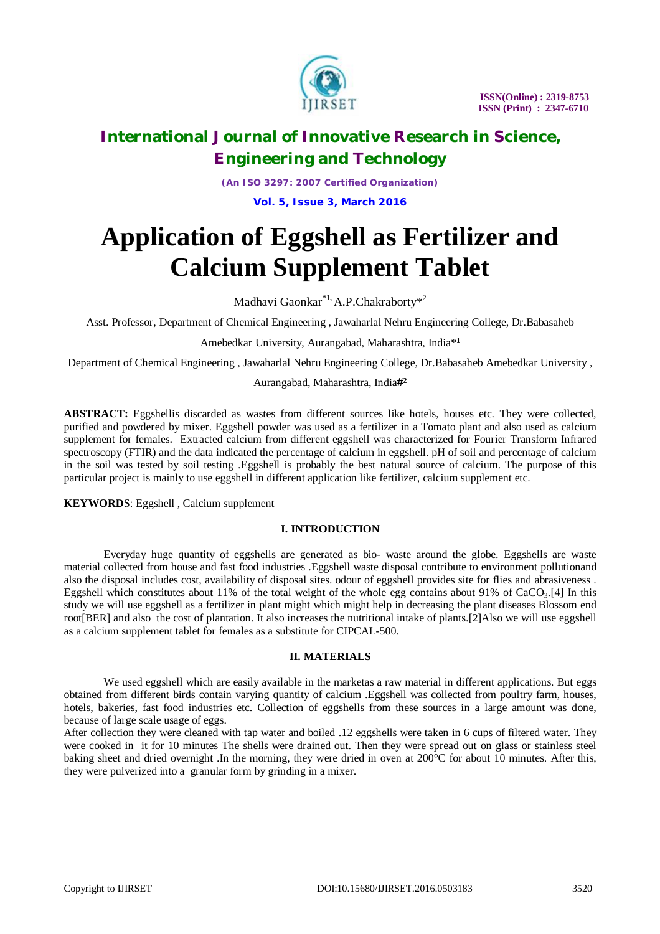

*(An ISO 3297: 2007 Certified Organization)*

**Vol. 5, Issue 3, March 2016**

# **Application of Eggshell as Fertilizer and Calcium Supplement Tablet**

Madhavi Gaonkar**\*1,** A.P.Chakraborty\* 2

Asst. Professor, Department of Chemical Engineering , Jawaharlal Nehru Engineering College, Dr.Babasaheb

Amebedkar University, Aurangabad, Maharashtra, India<sup>\*1</sup>

Department of Chemical Engineering , Jawaharlal Nehru Engineering College, Dr.Babasaheb Amebedkar University ,

### Aurangabad, Maharashtra, India**#²**

**ABSTRACT:** Eggshellis discarded as wastes from different sources like hotels, houses etc. They were collected, purified and powdered by mixer. Eggshell powder was used as a fertilizer in a Tomato plant and also used as calcium supplement for females. Extracted calcium from different eggshell was characterized for Fourier Transform Infrared spectroscopy (FTIR) and the data indicated the percentage of calcium in eggshell. pH of soil and percentage of calcium in the soil was tested by soil testing .Eggshell is probably the best natural source of calcium. The purpose of this particular project is mainly to use eggshell in different application like fertilizer, calcium supplement etc.

**KEYWORD**S: Eggshell , Calcium supplement

### **I. INTRODUCTION**

Everyday huge quantity of eggshells are generated as bio- waste around the globe. Eggshells are waste material collected from house and fast food industries .Eggshell waste disposal contribute to environment pollutionand also the disposal includes cost, availability of disposal sites. odour of eggshell provides site for flies and abrasiveness . Eggshell which constitutes about 11% of the total weight of the whole egg contains about 91% of  $CaCO<sub>3</sub>$ .[4] In this study we will use eggshell as a fertilizer in plant might which might help in decreasing the plant diseases Blossom end root[BER] and also the cost of plantation. It also increases the nutritional intake of plants.[2]Also we will use eggshell as a calcium supplement tablet for females as a substitute for CIPCAL-500.

### **II. MATERIALS**

We used eggshell which are easily available in the marketas a raw material in different applications. But eggs obtained from different birds contain varying quantity of calcium .Eggshell was collected from poultry farm, houses, hotels, bakeries, fast food industries etc. Collection of eggshells from these sources in a large amount was done, because of large scale usage of eggs.

After collection they were cleaned with tap water and boiled .12 eggshells were taken in 6 cups of filtered water. They were cooked in it for 10 minutes The shells were drained out. Then they were spread out on glass or stainless steel baking sheet and dried overnight .In the morning, they were dried in oven at 200°C for about 10 minutes. After this, they were pulverized into a granular form by grinding in a mixer.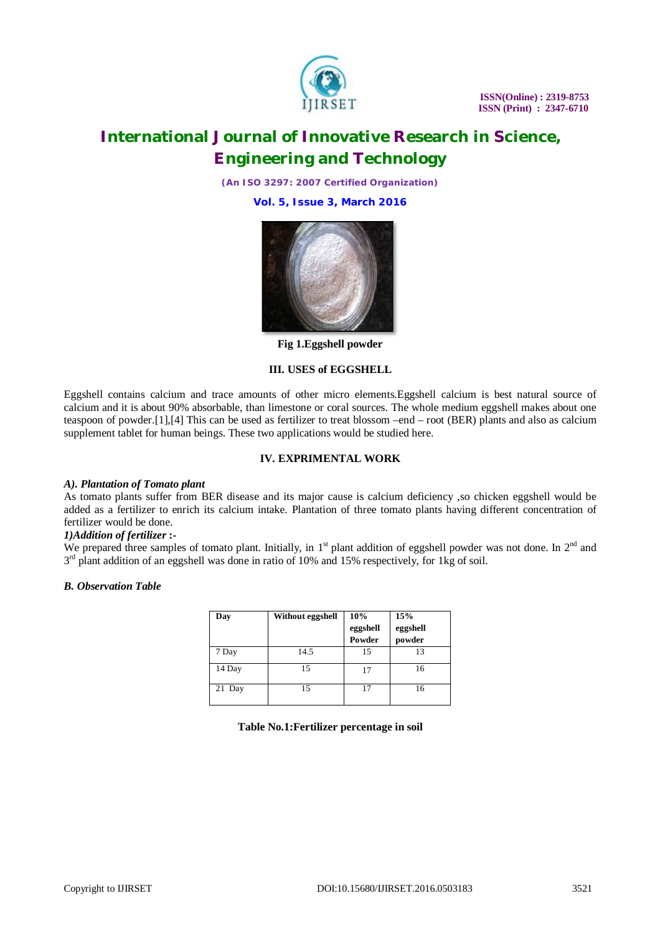

*(An ISO 3297: 2007 Certified Organization)*

**Vol. 5, Issue 3, March 2016**



**Fig 1.Eggshell powder**

### **III. USES of EGGSHELL**

Eggshell contains calcium and trace amounts of other micro elements.Eggshell calcium is best natural source of calcium and it is about 90% absorbable, than limestone or coral sources. The whole medium eggshell makes about one teaspoon of powder.[1],[4] This can be used as fertilizer to treat blossom –end – root (BER) plants and also as calcium supplement tablet for human beings. These two applications would be studied here.

### **IV. EXPRIMENTAL WORK**

#### *A). Plantation of Tomato plant*

As tomato plants suffer from BER disease and its major cause is calcium deficiency ,so chicken eggshell would be added as a fertilizer to enrich its calcium intake. Plantation of three tomato plants having different concentration of fertilizer would be done.

### *1)Addition of fertilizer* **:-**

We prepared three samples of tomato plant. Initially, in  $1<sup>st</sup>$  plant addition of eggshell powder was not done. In  $2<sup>nd</sup>$  and 3<sup>rd</sup> plant addition of an eggshell was done in ratio of 10% and 15% respectively, for 1kg of soil.

#### *B. Observation Table*

| Day    | Without eggshell | 10%      | 15%      |
|--------|------------------|----------|----------|
|        |                  | eggshell | eggshell |
|        |                  | Powder   | powder   |
| 7 Day  | 14.5             | 15       | 13       |
| 14 Day | 15               | 17       | 16       |
| 21 Day | 15               | 17       | 16       |

**Table No.1:Fertilizer percentage in soil**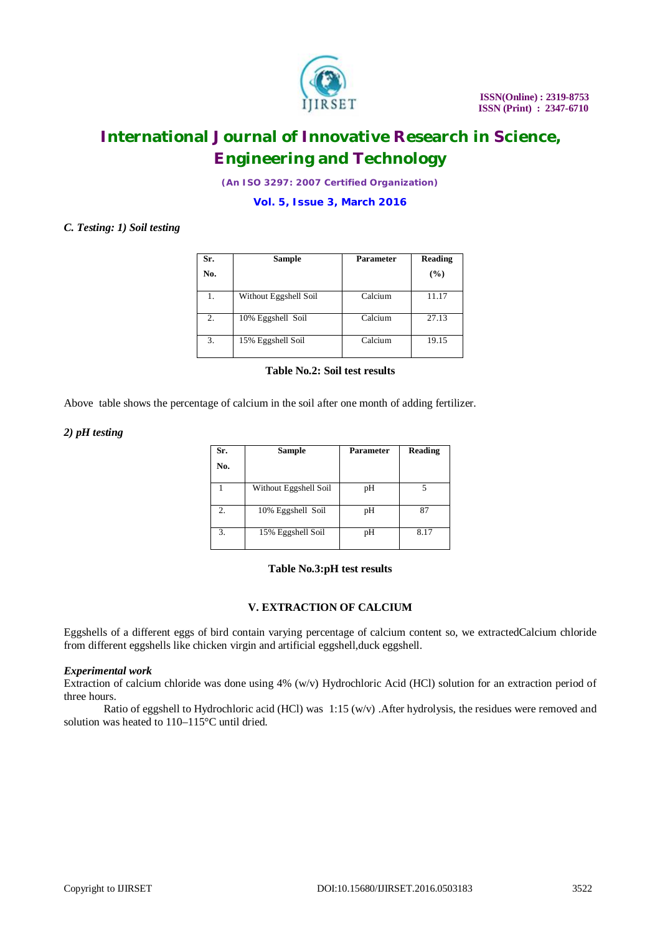

*(An ISO 3297: 2007 Certified Organization)*

**Vol. 5, Issue 3, March 2016**

# *C. Testing: 1) Soil testing*

| Sr. | <b>Sample</b>         | <b>Parameter</b> | Reading |
|-----|-----------------------|------------------|---------|
| No. |                       |                  | (%)     |
| 1.  | Without Eggshell Soil | Calcium          | 11.17   |
| 2.  | 10% Eggshell Soil     | Calcium          | 27.13   |
| 3.  | 15% Eggshell Soil     | Calcium          | 19.15   |

**Table No.2: Soil test results**

Above table shows the percentage of calcium in the soil after one month of adding fertilizer.

### *2) pH testing*

| Sr. | <b>Sample</b>         | <b>Parameter</b> | Reading |
|-----|-----------------------|------------------|---------|
| No. |                       |                  |         |
|     | Without Eggshell Soil | pH               | 5       |
| 2.  | 10% Eggshell Soil     | pH               | 87      |
| 3.  | 15% Eggshell Soil     | pН               | 8.17    |

### **Table No.3:pH test results**

### **V. EXTRACTION OF CALCIUM**

Eggshells of a different eggs of bird contain varying percentage of calcium content so, we extractedCalcium chloride from different eggshells like chicken virgin and artificial eggshell,duck eggshell.

# *Experimental work*

Extraction of calcium chloride was done using 4% (w/v) Hydrochloric Acid (HCl) solution for an extraction period of three hours.

Ratio of eggshell to Hydrochloric acid (HCl) was 1:15 (w/v) .After hydrolysis, the residues were removed and solution was heated to 110–115°C until dried.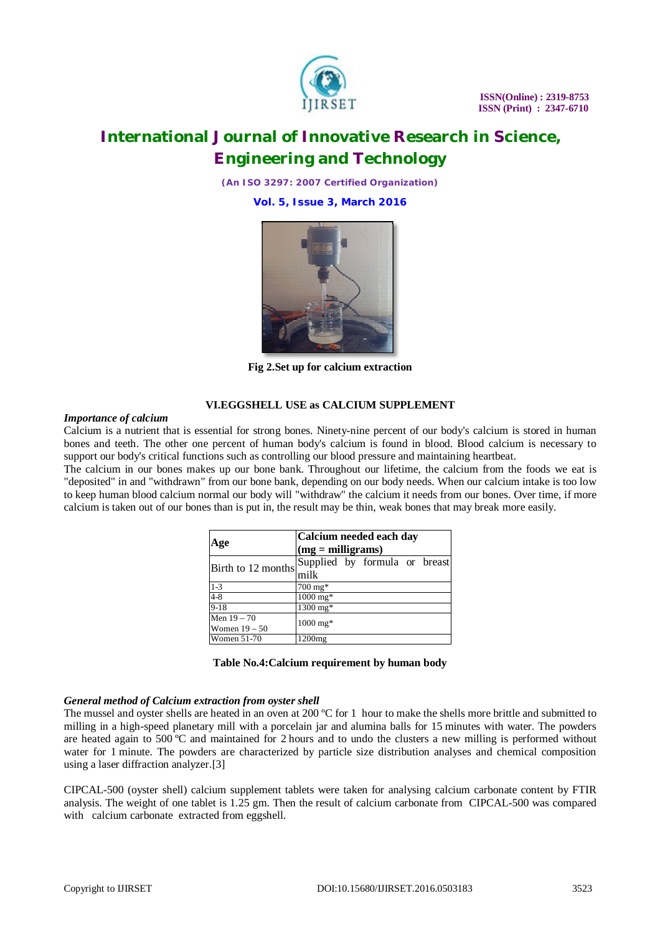

*(An ISO 3297: 2007 Certified Organization)*

**Vol. 5, Issue 3, March 2016**



**Fig 2.Set up for calcium extraction**

# **VI.EGGSHELL USE as CALCIUM SUPPLEMENT**

#### *Importance of calcium*

Calcium is a nutrient that is essential for strong bones. Ninety-nine percent of our body's calcium is stored in human bones and teeth. The other one percent of human body's calcium is found in blood. Blood calcium is necessary to support our body's critical functions such as controlling our blood pressure and maintaining heartbeat.

The calcium in our bones makes up our bone bank. Throughout our lifetime, the calcium from the foods we eat is "deposited" in and "withdrawn" from our bone bank, depending on our body needs. When our calcium intake is too low to keep human blood calcium normal our body will "withdraw" the calcium it needs from our bones. Over time, if more calcium is taken out of our bones than is put in, the result may be thin, weak bones that may break more easily.

| Age                | Calcium needed each day       |  |  |  |
|--------------------|-------------------------------|--|--|--|
|                    | $(mg = milligrams)$           |  |  |  |
| Birth to 12 months | Supplied by formula or breast |  |  |  |
|                    | milk                          |  |  |  |
| $1 - 3$            | $700 \,\mathrm{mg*}$          |  |  |  |
| $4 - 8$            | $1000 \text{ mg*}$            |  |  |  |
| $9-18$             | 1300 mg*                      |  |  |  |
| Men $19 - 70$      | $1000 \text{ mg*}$            |  |  |  |
| Women $19-50$      |                               |  |  |  |
| Women 51-70        | $1200$ mg                     |  |  |  |

| Table No.4: Calcium requirement by human body |
|-----------------------------------------------|
|-----------------------------------------------|

#### *General method of Calcium extraction from oyster shell*

The mussel and oyster shells are heated in an oven at 200  $^{\circ}$ C for 1 hour to make the shells more brittle and submitted to milling in a high-speed planetary mill with a porcelain jar and alumina balls for 15 minutes with water. The powders are heated again to 500 ºC and maintained for 2 hours and to undo the clusters a new milling is performed without water for 1 minute. The powders are characterized by particle size distribution analyses and chemical composition using a laser diffraction analyzer.[3]

CIPCAL-500 (oyster shell) calcium supplement tablets were taken for analysing calcium carbonate content by FTIR analysis. The weight of one tablet is 1.25 gm. Then the result of calcium carbonate from CIPCAL-500 was compared with calcium carbonate extracted from eggshell.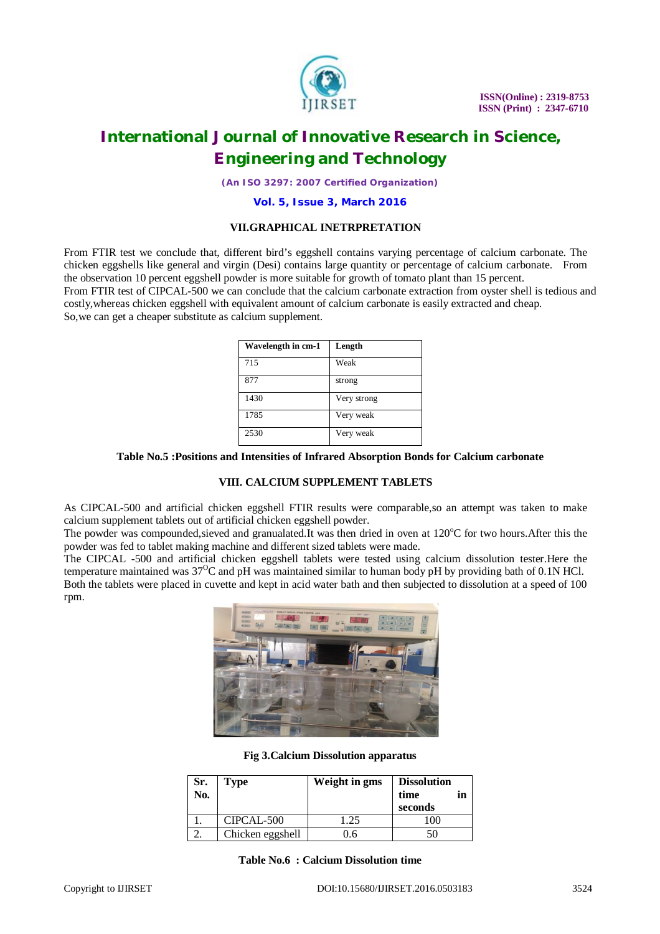

*(An ISO 3297: 2007 Certified Organization)*

#### **Vol. 5, Issue 3, March 2016**

#### **VII.GRAPHICAL INETRPRETATION**

From FTIR test we conclude that, different bird's eggshell contains varying percentage of calcium carbonate. The chicken eggshells like general and virgin (Desi) contains large quantity or percentage of calcium carbonate. From the observation 10 percent eggshell powder is more suitable for growth of tomato plant than 15 percent. From FTIR test of CIPCAL-500 we can conclude that the calcium carbonate extraction from oyster shell is tedious and costly,whereas chicken eggshell with equivalent amount of calcium carbonate is easily extracted and cheap. So,we can get a cheaper substitute as calcium supplement.

| Wavelength in cm-1 | Length      |
|--------------------|-------------|
| 715                | Weak        |
| 877                | strong      |
| 1430               | Very strong |
| 1785               | Very weak   |
| 2530               | Very weak   |

#### **Table No.5 :Positions and Intensities of Infrared Absorption Bonds for Calcium carbonate**

#### **VIII. CALCIUM SUPPLEMENT TABLETS**

As CIPCAL-500 and artificial chicken eggshell FTIR results were comparable,so an attempt was taken to make calcium supplement tablets out of artificial chicken eggshell powder.

The powder was compounded, sieved and granualated.It was then dried in oven at  $120^{\circ}$ C for two hours.After this the powder was fed to tablet making machine and different sized tablets were made.

The CIPCAL -500 and artificial chicken eggshell tablets were tested using calcium dissolution tester.Here the temperature maintained was  $37^{\circ}$ C and pH was maintained similar to human body pH by providing bath of 0.1N HCl. Both the tablets were placed in cuvette and kept in acid water bath and then subjected to dissolution at a speed of 100 rpm.



#### **Fig 3.Calcium Dissolution apparatus**

| Sr.<br>No. | <b>Type</b>      | Weight in gms | <b>Dissolution</b><br>time<br>in<br>seconds |
|------------|------------------|---------------|---------------------------------------------|
|            | CIPCAL-500       | 1.25          |                                             |
|            | Chicken eggshell | 1.6           | 50                                          |

**Table No.6 : Calcium Dissolution time**